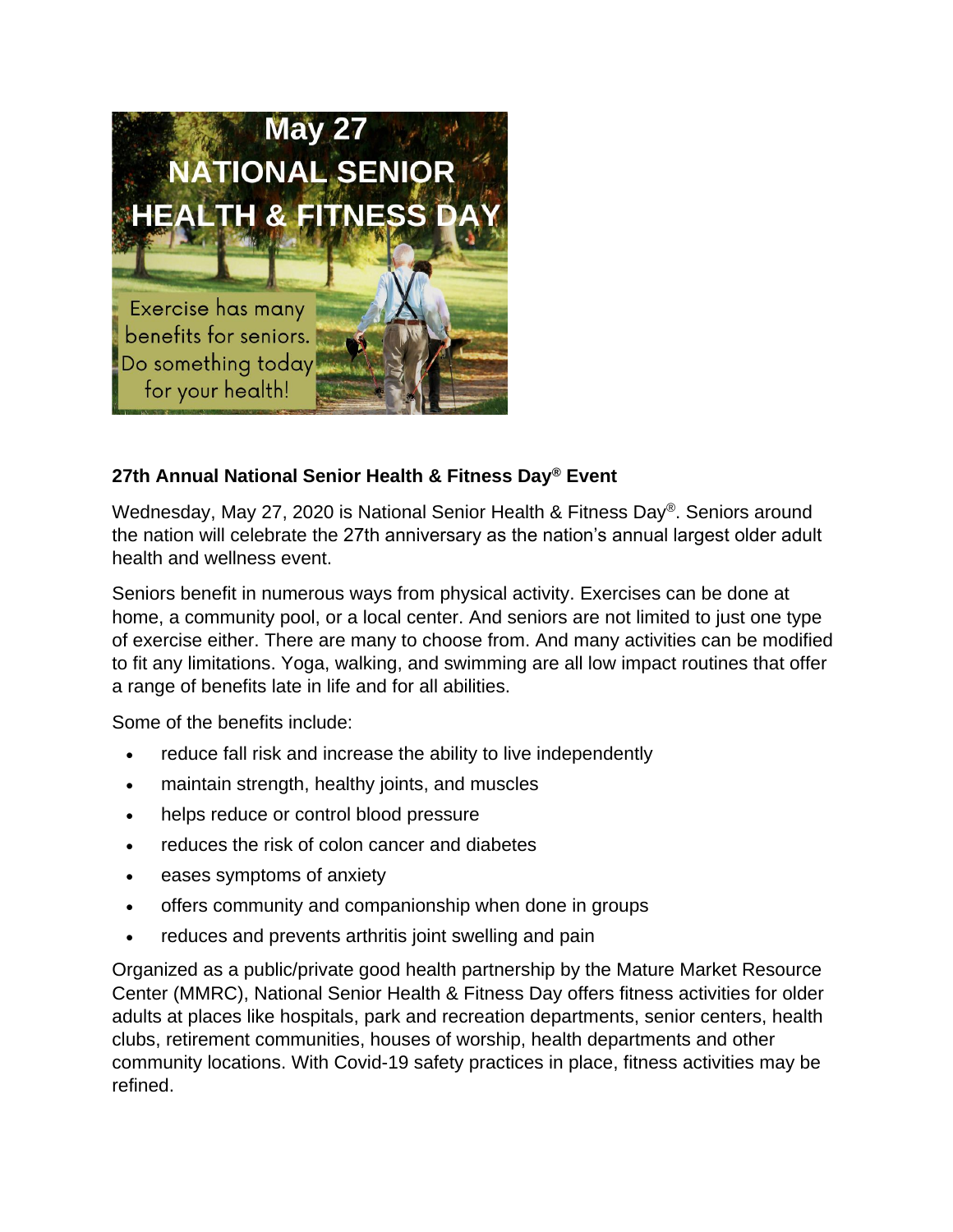

## **27th Annual National Senior Health & Fitness Day® Event**

Wednesday, May 27, 2020 is National Senior Health & Fitness Day®. Seniors around the nation will celebrate the 27th anniversary as the nation's annual largest older adult health and wellness event.

Seniors benefit in numerous ways from physical activity. Exercises can be done at home, a community pool, or a local center. And seniors are not limited to just one type of exercise either. There are many to choose from. And many activities can be modified to fit any limitations. Yoga, walking, and swimming are all low impact routines that offer a range of benefits late in life and for all abilities.

Some of the benefits include:

- reduce fall risk and increase the ability to live independently
- maintain strength, healthy joints, and muscles
- helps reduce or control blood pressure
- reduces the risk of colon cancer and diabetes
- eases symptoms of anxiety
- offers community and companionship when done in groups
- reduces and prevents arthritis joint swelling and pain

Organized as a public/private good health partnership by the Mature Market Resource Center (MMRC), National Senior Health & Fitness Day offers fitness activities for older adults at places like hospitals, park and recreation departments, senior centers, health clubs, retirement communities, houses of worship, health departments and other community locations. With Covid-19 safety practices in place, fitness activities may be refined.